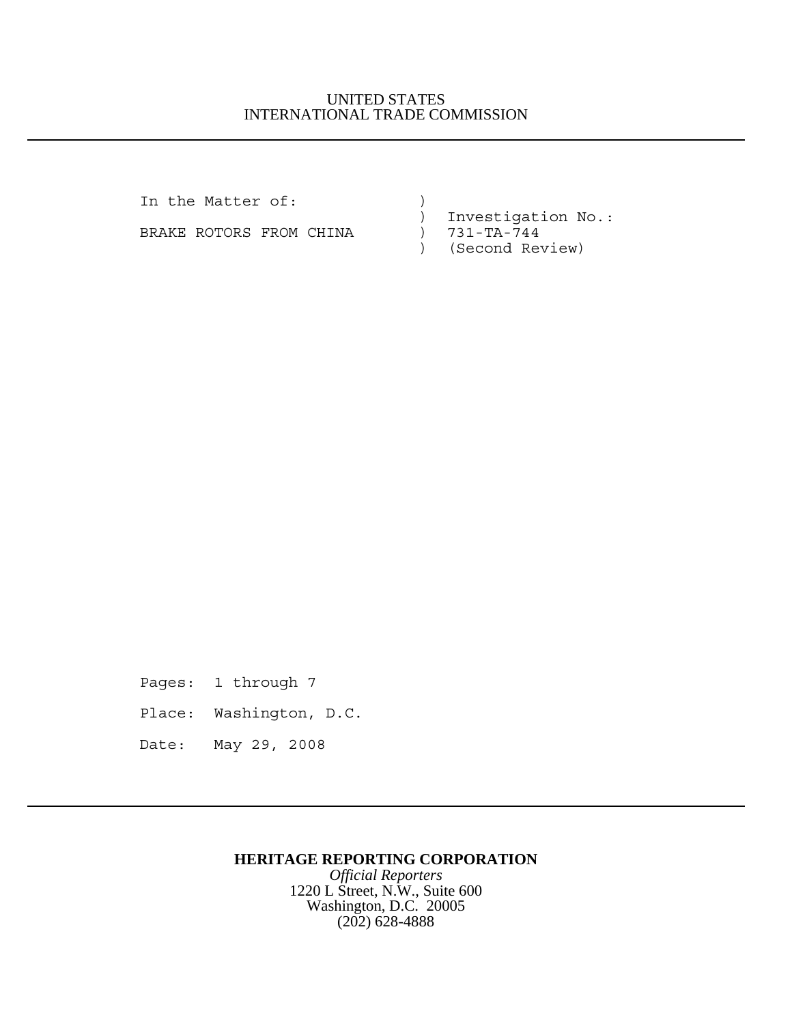## UNITED STATES INTERNATIONAL TRADE COMMISSION

In the Matter of:  $)$ BRAKE ROTORS FROM CHINA  $\qquad$  ) 731-TA-744

 ) Investigation No.: ) (Second Review)

Pages: 1 through 7 Place: Washington, D.C. Date: May 29, 2008

## **HERITAGE REPORTING CORPORATION**

*Official Reporters* 1220 L Street, N.W., Suite 600 Washington, D.C. 20005 (202) 628-4888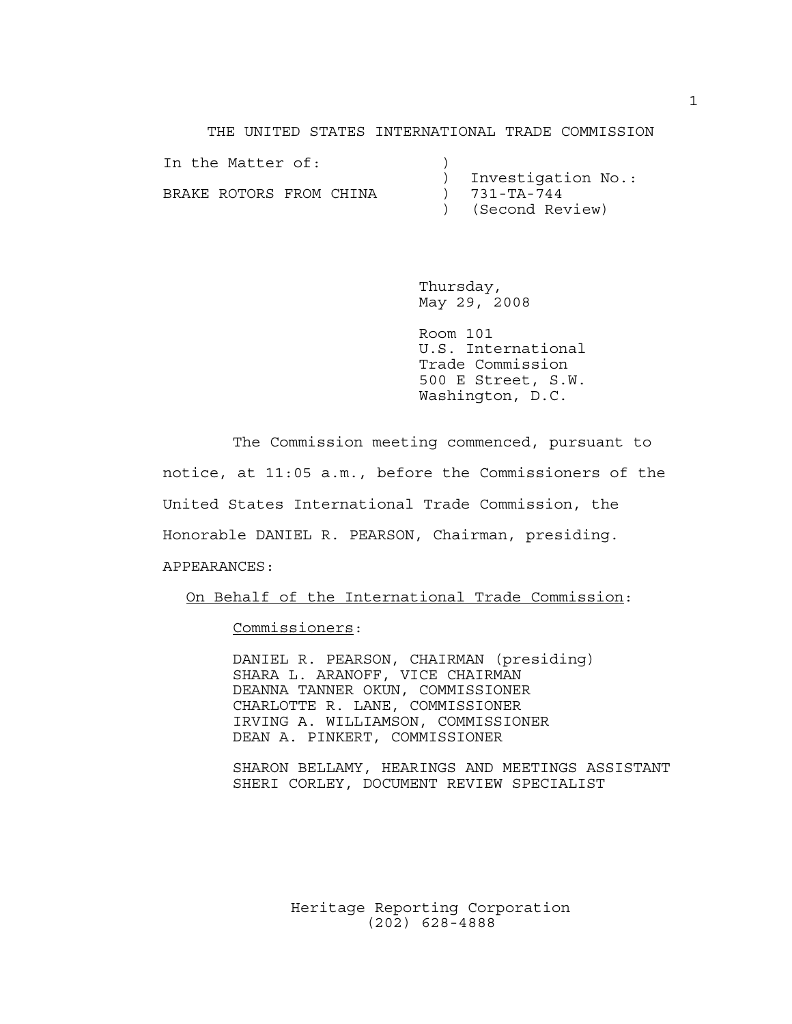THE UNITED STATES INTERNATIONAL TRADE COMMISSION

| In the Matter of:       |  |                      |
|-------------------------|--|----------------------|
|                         |  | ) Investigation No.: |
| BRAKE ROTORS FROM CHINA |  | $731 - TA - 744$     |
|                         |  | ) (Second Review)    |

Thursday, May 29, 2008

Room 101 U.S. International Trade Commission 500 E Street, S.W. Washington, D.C.

The Commission meeting commenced, pursuant to notice, at 11:05 a.m., before the Commissioners of the United States International Trade Commission, the Honorable DANIEL R. PEARSON, Chairman, presiding. APPEARANCES:

On Behalf of the International Trade Commission:

Commissioners:

DANIEL R. PEARSON, CHAIRMAN (presiding) SHARA L. ARANOFF, VICE CHAIRMAN DEANNA TANNER OKUN, COMMISSIONER CHARLOTTE R. LANE, COMMISSIONER IRVING A. WILLIAMSON, COMMISSIONER DEAN A. PINKERT, COMMISSIONER

SHARON BELLAMY, HEARINGS AND MEETINGS ASSISTANT SHERI CORLEY, DOCUMENT REVIEW SPECIALIST

> Heritage Reporting Corporation (202) 628-4888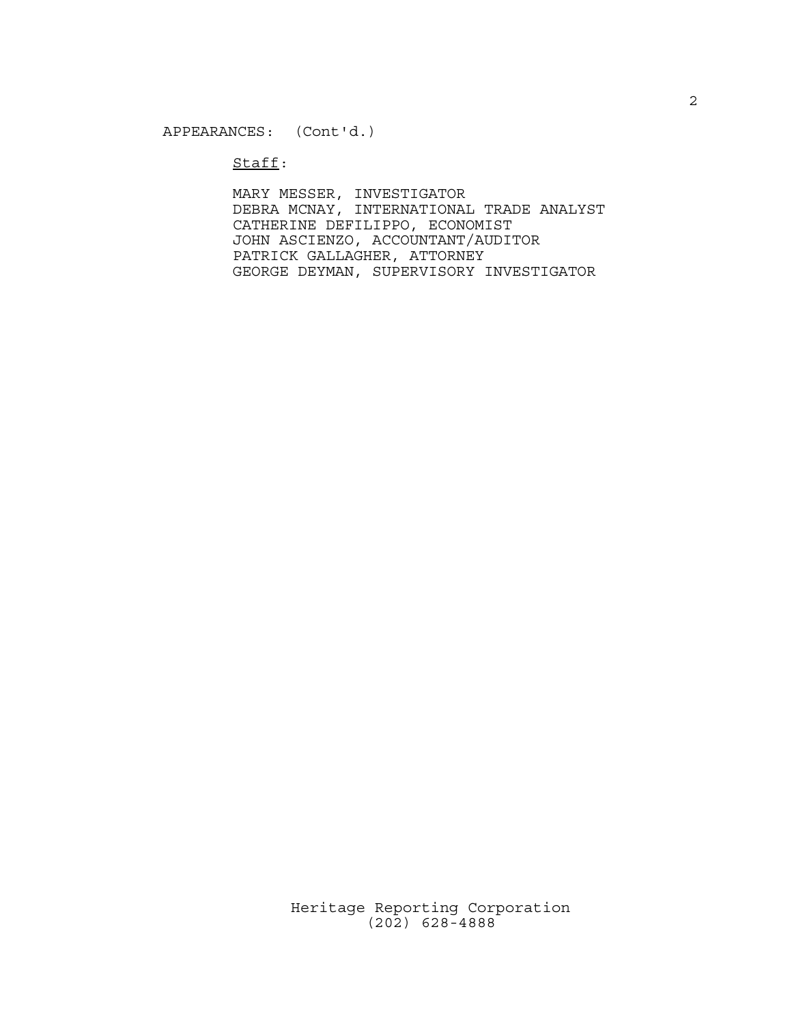Staff:

MARY MESSER, INVESTIGATOR DEBRA MCNAY, INTERNATIONAL TRADE ANALYST CATHERINE DEFILIPPO, ECONOMIST JOHN ASCIENZO, ACCOUNTANT/AUDITOR PATRICK GALLAGHER, ATTORNEY GEORGE DEYMAN, SUPERVISORY INVESTIGATOR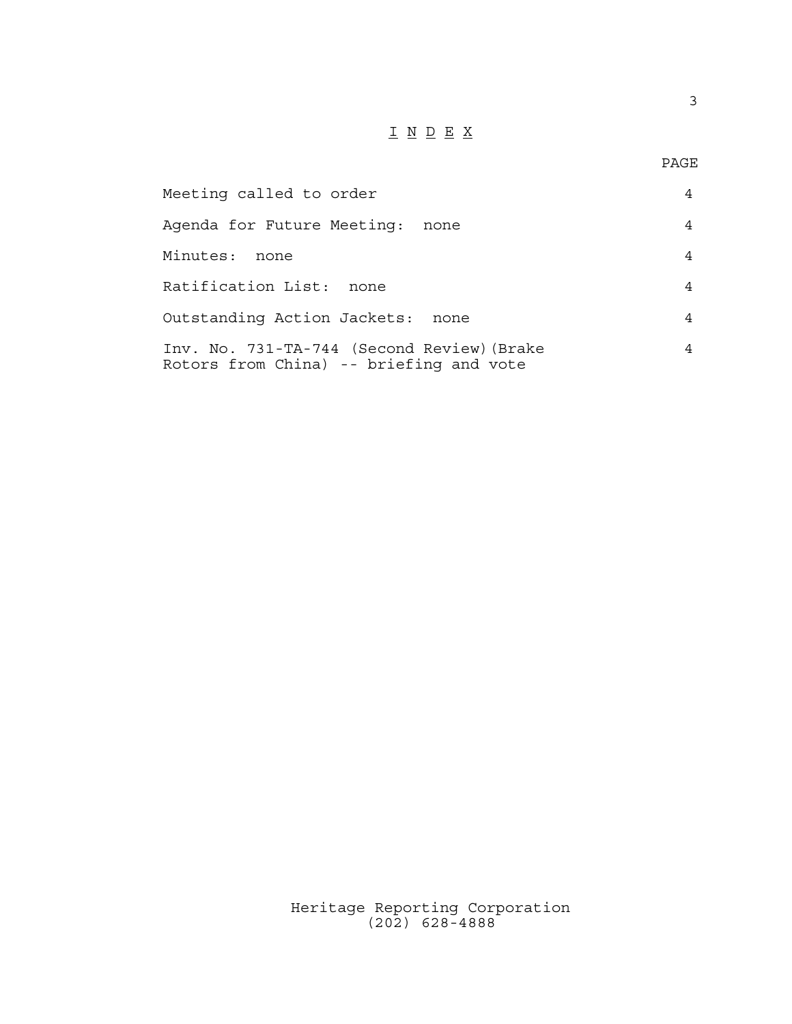## I N D E X

3

| Meeting called to order                                                               | 4 |
|---------------------------------------------------------------------------------------|---|
| Agenda for Future Meeting:<br>none                                                    | 4 |
| Minutes:<br>none                                                                      | 4 |
| Ratification List:<br>none                                                            | 4 |
| Outstanding Action Jackets: none                                                      | 4 |
| Inv. No. 731-TA-744 (Second Review) (Brake<br>Rotors from China) -- briefing and vote | 4 |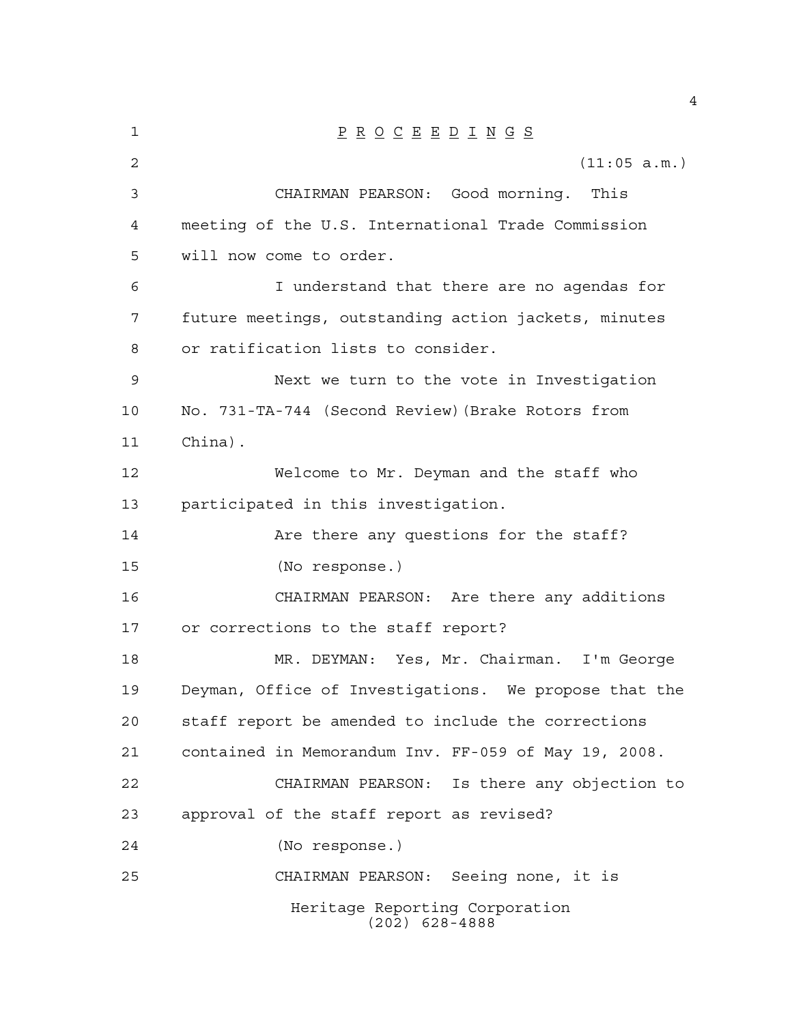| 1  | $\underline{P} \underline{R} \underline{O} \underline{C} \underline{E} \underline{E} \underline{D} \underline{I} \underline{N} \underline{G} \underline{S}$ |
|----|-------------------------------------------------------------------------------------------------------------------------------------------------------------|
| 2  | (11:05 a.m.)                                                                                                                                                |
| 3  | CHAIRMAN PEARSON: Good morning. This                                                                                                                        |
| 4  | meeting of the U.S. International Trade Commission                                                                                                          |
| 5  | will now come to order.                                                                                                                                     |
| 6  | I understand that there are no agendas for                                                                                                                  |
| 7  | future meetings, outstanding action jackets, minutes                                                                                                        |
| 8  | or ratification lists to consider.                                                                                                                          |
| 9  | Next we turn to the vote in Investigation                                                                                                                   |
| 10 | No. 731-TA-744 (Second Review) (Brake Rotors from                                                                                                           |
| 11 | China).                                                                                                                                                     |
| 12 | Welcome to Mr. Deyman and the staff who                                                                                                                     |
| 13 | participated in this investigation.                                                                                                                         |
| 14 | Are there any questions for the staff?                                                                                                                      |
| 15 | (No response.)                                                                                                                                              |
| 16 | CHAIRMAN PEARSON: Are there any additions                                                                                                                   |
| 17 | or corrections to the staff report?                                                                                                                         |
| 18 | MR. DEYMAN: Yes, Mr. Chairman. I'm George                                                                                                                   |
| 19 | Deyman, Office of Investigations. We propose that the                                                                                                       |
| 20 | staff report be amended to include the corrections                                                                                                          |
| 21 | contained in Memorandum Inv. FF-059 of May 19, 2008.                                                                                                        |
| 22 | Is there any objection to<br>CHAIRMAN PEARSON:                                                                                                              |
| 23 | approval of the staff report as revised?                                                                                                                    |
| 24 | (No response.)                                                                                                                                              |
| 25 | CHAIRMAN PEARSON: Seeing none, it is                                                                                                                        |
|    | Heritage Reporting Corporation<br>$(202)$ 628-4888                                                                                                          |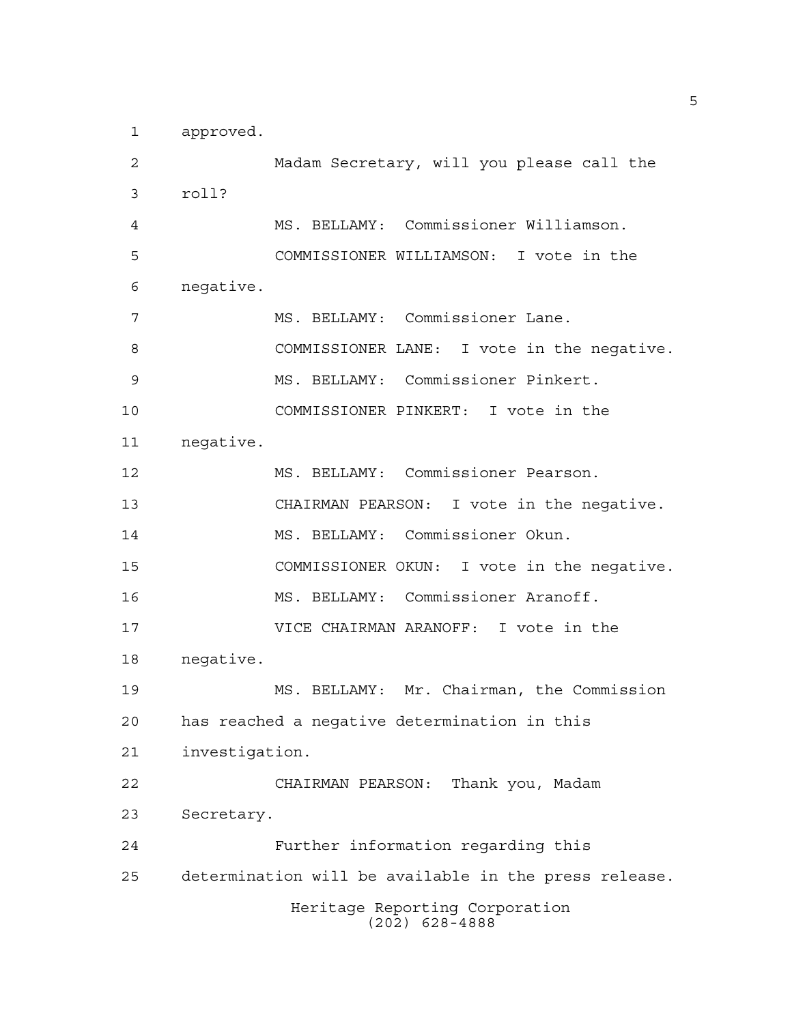approved.

Heritage Reporting Corporation (202) 628-4888 Madam Secretary, will you please call the roll? MS. BELLAMY: Commissioner Williamson. COMMISSIONER WILLIAMSON: I vote in the negative. MS. BELLAMY: Commissioner Lane. COMMISSIONER LANE: I vote in the negative. MS. BELLAMY: Commissioner Pinkert. COMMISSIONER PINKERT: I vote in the negative. MS. BELLAMY: Commissioner Pearson. CHAIRMAN PEARSON: I vote in the negative. MS. BELLAMY: Commissioner Okun. COMMISSIONER OKUN: I vote in the negative. MS. BELLAMY: Commissioner Aranoff. VICE CHAIRMAN ARANOFF: I vote in the negative. MS. BELLAMY: Mr. Chairman, the Commission has reached a negative determination in this investigation. CHAIRMAN PEARSON: Thank you, Madam Secretary. Further information regarding this determination will be available in the press release.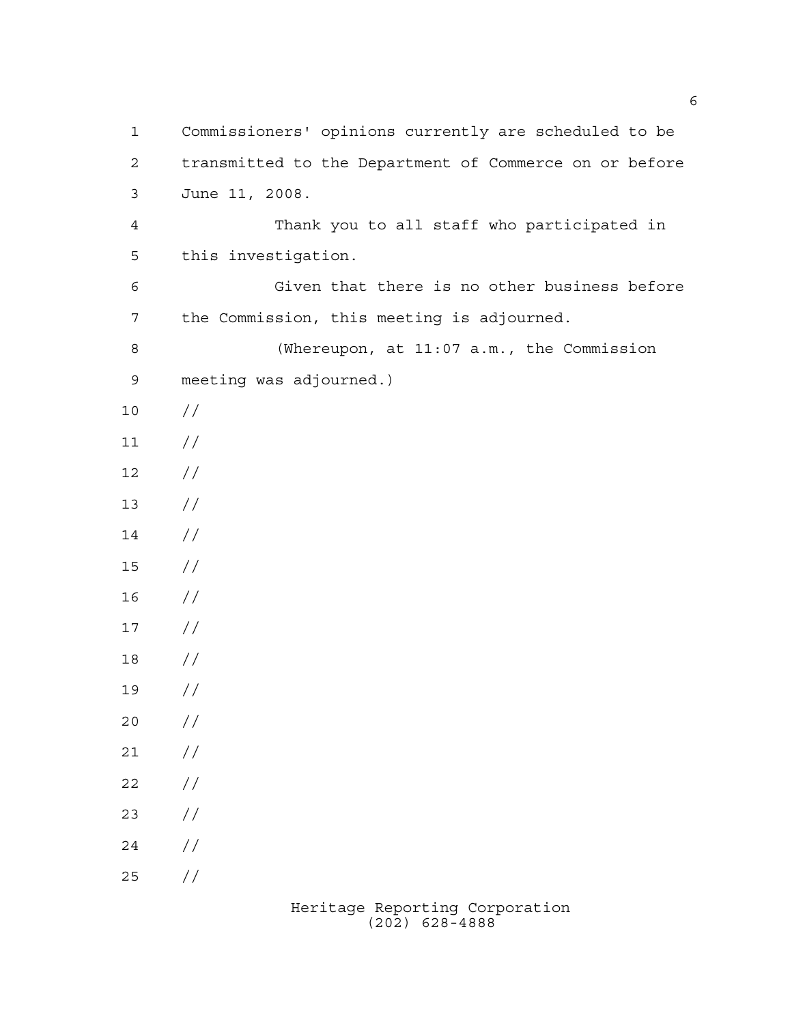| $\mathbf{1}$   | Commissioners' opinions currently are scheduled to be  |
|----------------|--------------------------------------------------------|
| 2              | transmitted to the Department of Commerce on or before |
| 3              | June 11, 2008.                                         |
| $\overline{4}$ | Thank you to all staff who participated in             |
| 5              | this investigation.                                    |
| 6              | Given that there is no other business before           |
| 7              | the Commission, this meeting is adjourned.             |
| 8              | (Whereupon, at 11:07 a.m., the Commission              |
| 9              | meeting was adjourned.)                                |
| $10$           | $\frac{1}{2}$                                          |
| 11             | $\frac{1}{2}$                                          |
| 12             | //                                                     |
| 13             | //                                                     |
| 14             | //                                                     |
| 15             | //                                                     |
| 16             | $\frac{1}{2}$                                          |
| 17             | $\frac{1}{2}$                                          |
| 18             | $\frac{1}{2}$                                          |
| 19             | //                                                     |
| 20             | //                                                     |
| 21             | //                                                     |
| 22             | //                                                     |
| 23             | //                                                     |
| 24             | //                                                     |
| 25             | //                                                     |
|                |                                                        |

Heritage Reporting Corporation (202) 628-4888